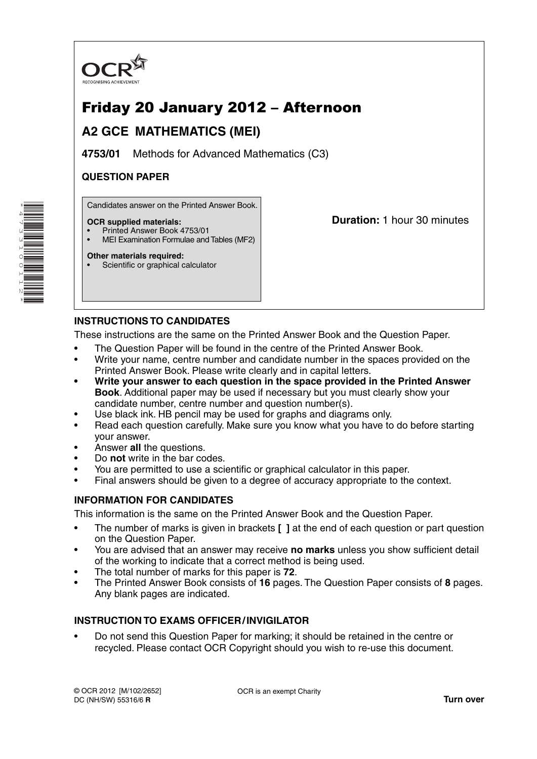

# Friday 20 January 2012 – Afternoon

## **A2 GCE MATHEMATICS (MEI)**

**4753/01** Methods for Advanced Mathematics (C3)

## **QUESTION PAPER**

Candidates answer on the Printed Answer Book.

#### **OCR supplied materials:**

\*4733100112\*

**The Contract of the Contract of the Contract of the Contract of the Contract of The Contract of The Contract o** 

- Printed Answer Book 4753/01
- MEI Examination Formulae and Tables (MF2)

#### **Other materials required:**

Scientific or graphical calculator

**Duration:** 1 hour 30 minutes

## **INSTRUCTIONS TO CANDIDATES**

These instructions are the same on the Printed Answer Book and the Question Paper.

- The Question Paper will be found in the centre of the Printed Answer Book.
- Write your name, centre number and candidate number in the spaces provided on the Printed Answer Book. Please write clearly and in capital letters.
- **Write your answer to each question in the space provided in the Printed Answer Book**. Additional paper may be used if necessary but you must clearly show your candidate number, centre number and question number(s).
- Use black ink. HB pencil may be used for graphs and diagrams only.
- Read each question carefully. Make sure you know what you have to do before starting your answer.
- Answer **all** the questions.
- Do **not** write in the bar codes.
- You are permitted to use a scientific or graphical calculator in this paper.
- Final answers should be given to a degree of accuracy appropriate to the context.

## **INFORMATION FOR CANDIDATES**

This information is the same on the Printed Answer Book and the Question Paper.

- The number of marks is given in brackets **[ ]** at the end of each question or part question on the Question Paper.
- You are advised that an answer may receive **no marks** unless you show sufficient detail of the working to indicate that a correct method is being used.
- The total number of marks for this paper is **72**.
- The Printed Answer Book consists of **16** pages. The Question Paper consists of **8** pages. Any blank pages are indicated.

## **INSTRUCTION TO EXAMS OFFICER / INVIGILATOR**

• Do not send this Question Paper for marking; it should be retained in the centre or recycled. Please contact OCR Copyright should you wish to re-use this document.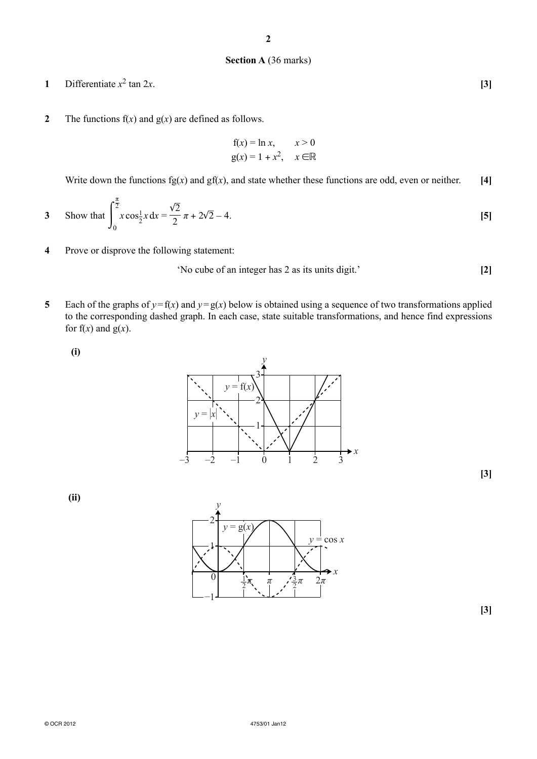#### **Section A** (36 marks)

**1** Differentiate  $x^2$  tan  $2x$ . **[3]** 

**2** The functions  $f(x)$  and  $g(x)$  are defined as follows.

$$
f(x) = \ln x, \qquad x > 0
$$

$$
g(x) = 1 + x^2, \quad x \in \mathbb{R}
$$

Write down the functions  $fg(x)$  and  $gf(x)$ , and state whether these functions are odd, even or neither. [4]

3 Show that 
$$
\int_0^{\frac{\pi}{2}} x \cos{\frac{1}{2}x} dx = \frac{\sqrt{2}}{2} \pi + 2\sqrt{2} - 4.
$$
 [5]

**4** Prove or disprove the following statement:

'No cube of an integer has 2 as its units digit.' **[2]**

**5** Each of the graphs of  $y = f(x)$  and  $y = g(x)$  below is obtained using a sequence of two transformations applied to the corresponding dashed graph. In each case, state suitable transformations, and hence find expressions for  $f(x)$  and  $g(x)$ .

 **(i)**



**[3]**

 **(ii)**



**[3]**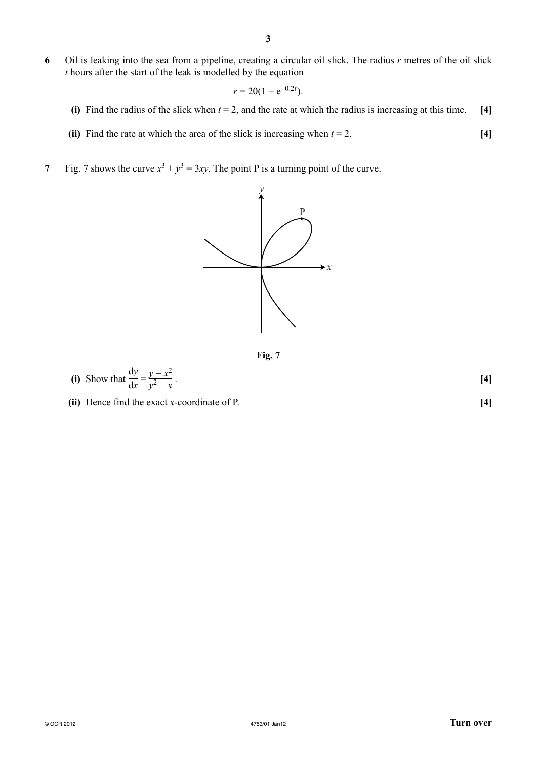**6** Oil is leaking into the sea from a pipeline, creating a circular oil slick. The radius *r* metres of the oil slick *t* hours after the start of the leak is modelled by the equation

$$
r = 20(1 - e^{-0.2t}).
$$

- **(i)** Find the radius of the slick when *t* = 2, and the rate at which the radius is increasing at this time. **[4]**
- **(ii)** Find the rate at which the area of the slick is increasing when  $t = 2$ . [4]
- **7** Fig. 7 shows the curve  $x^3 + y^3 = 3xy$ . The point P is a turning point of the curve.



**Fig. 7**

| [4] |
|-----|
|     |
|     |

 **(ii)** Hence find the exact *x*-coordinate of P. **[4]**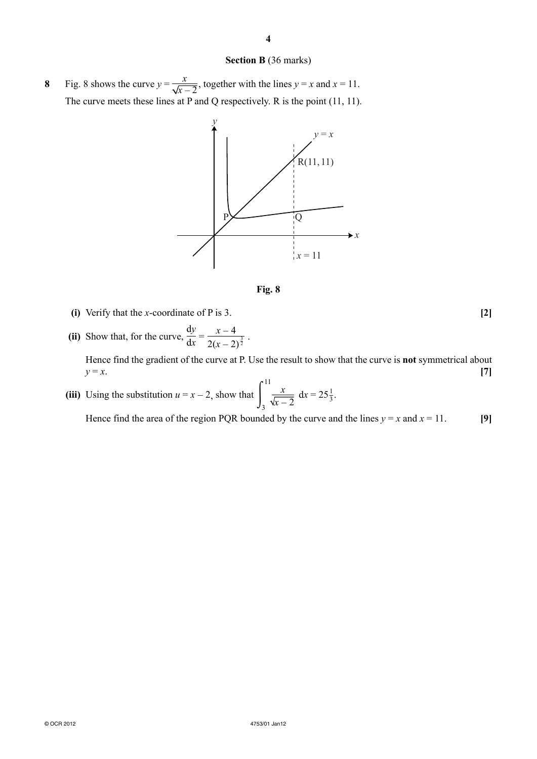#### **Section B** (36 marks)

**8** • Fig. 8 shows the curve  $y = \frac{x}{\sqrt{x-2}}$ , together with the lines  $y = x$  and  $x = 11$ . The curve meets these lines at P and Q respectively. R is the point (11, 11).



**Fig. 8**

- **(i)** Verify that the *x*-coordinate of P is 3. **[2]**
- **(ii)** Show that, for the curve, d*y*  $\frac{dy}{dx} = \frac{x-4}{2(x-2)}$  $\frac{x-4}{2(x-2)^{\frac{3}{2}}}$ .

Hence find the gradient of the curve at P. Use the result to show that the curve is **not** symmetrical about  $y = x$ . **[7]** 

**(iii)** Using the substitution  $u = x - 2$ , show that  $\int_{3}^{x}$ 11 3 *x x* − 2  $dx = 25\frac{1}{3}$ .

Hence find the area of the region PQR bounded by the curve and the lines  $y = x$  and  $x = 11$ . [9]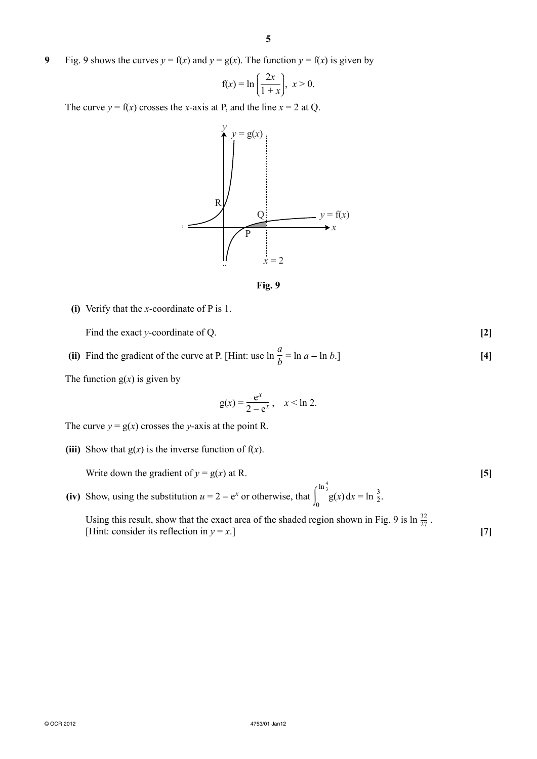**9** Fig. 9 shows the curves  $y = f(x)$  and  $y = g(x)$ . The function  $y = f(x)$  is given by

$$
f(x) = \ln\left(\frac{2x}{1+x}\right), \ x > 0.
$$

The curve  $y = f(x)$  crosses the *x*-axis at P, and the line  $x = 2$  at Q.



**Fig. 9**

 **(i)** Verify that the *x-*coordinate of P is 1.

Find the exact *y*-coordinate of Q. [2]

 **(ii)** Find the gradient of the curve at P. [Hint: use ln *a*  $\frac{a}{b} = \ln a - \ln b$ .] [4]

The function  $g(x)$  is given by

$$
g(x) = \frac{e^x}{2 - e^x}, \quad x < \ln 2.
$$

The curve  $y = g(x)$  crosses the *y*-axis at the point R.

**(iii)** Show that  $g(x)$  is the inverse function of  $f(x)$ .

Write down the gradient of  $y = g(x)$  at R. **[5]** 

(iv) Show, using the substitution  $u = 2 - e^x$  or otherwise, that  $\int_0^{\infty}$  $\ln \frac{4}{3}$  g(x) dx =  $\ln \frac{3}{2}$ .

Using this result, show that the exact area of the shaded region shown in Fig. 9 is  $\ln \frac{32}{27}$ . [Hint: consider its reflection in  $y = x$ .] [7]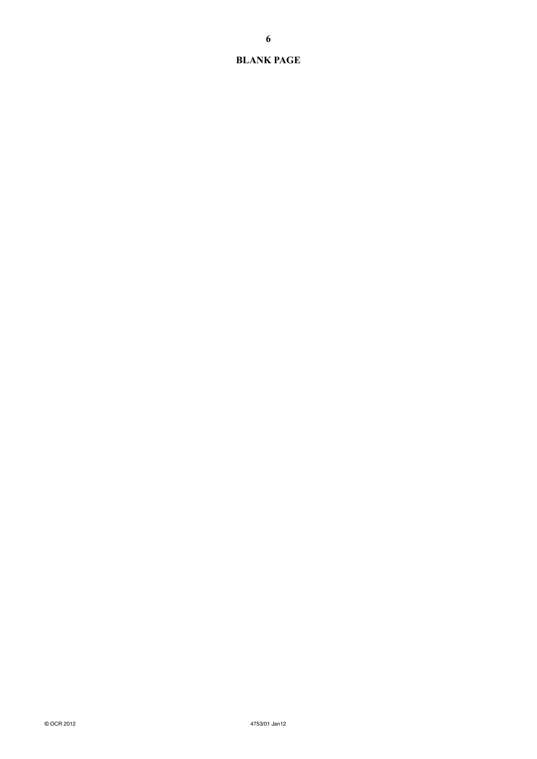### **BLANK PAGE**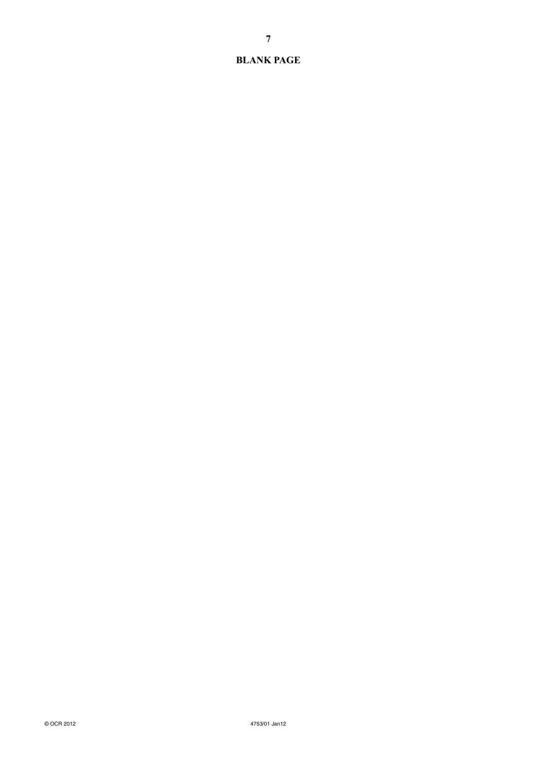### **BLANK PAGE**